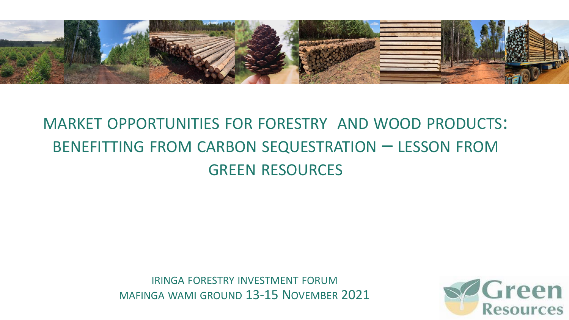

#### MARKET OPPORTUNITIES FOR FORESTRY AND WOOD PRODUCTS: BENEFITTING FROM CARBON SEQUESTRATION – LESSON FROM GREEN RESOURCES

IRINGA FORESTRY INVESTMENT FORUM MAFINGA WAMI GROUND 13-15 NOVEMBER 2021

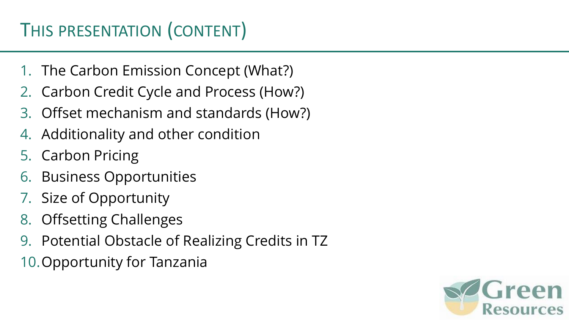## THIS PRESENTATION (CONTENT)

- 1. The Carbon Emission Concept (What?)
- 2. Carbon Credit Cycle and Process (How?)
- 3. Offset mechanism and standards (How?)
- 4. Additionality and other condition
- 5. Carbon Pricing
- 6. Business Opportunities
- 7. Size of Opportunity
- 8. Offsetting Challenges
- 9. Potential Obstacle of Realizing Credits in TZ
- 10.Opportunity for Tanzania

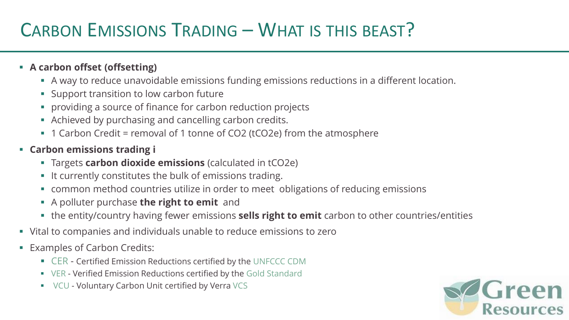### CARBON EMISSIONS TRADING – WHAT IS THIS BEAST?

#### ▪ **A carbon offset (offsetting)**

- **A** way to reduce unavoidable emissions funding emissions reductions in a different location.
- Support transition to low carbon future
- providing a source of finance for carbon reduction projects
- Achieved by purchasing and cancelling carbon credits.
- 1 Carbon Credit = removal of 1 tonne of CO2 (tCO2e) from the atmosphere
- **Carbon emissions trading i**
	- Targets **carbon dioxide emissions** (calculated in tCO2e)
	- It currently constitutes the bulk of emissions trading.
	- common method countries utilize in order to meet obligations of reducing emissions
	- A polluter purchase **the right to emit** and
	- the entity/country having fewer emissions **sells right to emit** carbon to other countries/entities
- Vital to companies and individuals unable to reduce emissions to zero
- Examples of Carbon Credits:
	- CER Certified Emission Reductions certified by the UNFCCC CDM
	- VER Verified Emission Reductions certified by the Gold Standard
	- VCU Voluntary Carbon Unit certified by Verra VCS

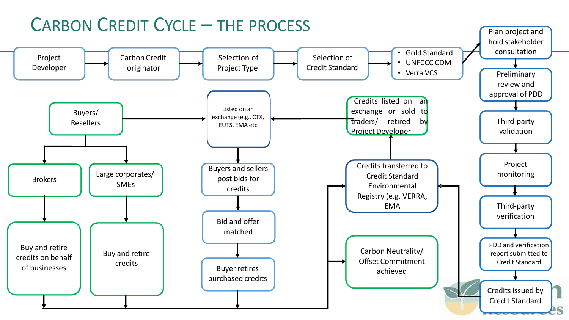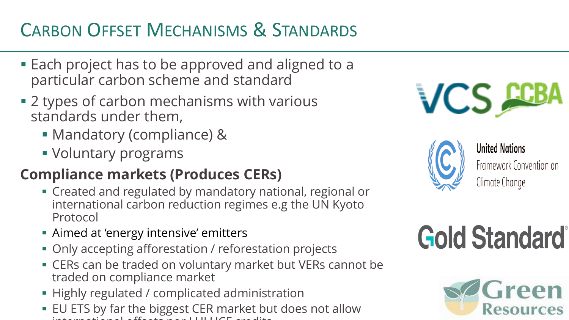# CARBON OFFSET MECHANISMS & STANDARDS

- Each project has to be approved and aligned to a particular carbon scheme and standard
- 2 types of carbon mechanisms with various standards under them,
	- Mandatory (compliance) &
	- **Voluntary programs**

#### **Compliance markets (Produces CERs)**

- Created and regulated by mandatory national, regional or international carbon reduction regimes e.g the UN Kyoto Protocol
- Aimed at 'energy intensive' emitters
- Only accepting afforestation / reforestation projects
- **ERS can be traded on voluntary market but VERs cannot be** traded on compliance market
- **EXTERNAL Highly regulated / complicated administration**
- EU ETS by far the biggest CER market but does not allow international offsets normal or  $\mathbb{R}^n$





**United Nations** Framework Convention on Climate Change

# **Gold Standard**

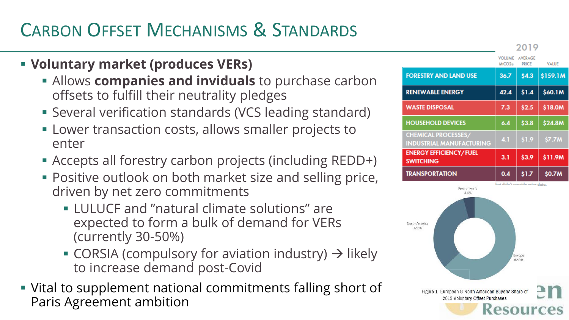# CARBON OFFSET MECHANISMS & STANDARDS

#### ▪ **Voluntary market (produces VERs)**

- **EXTERGHED Allows companies and inviduals** to purchase carbon offsets to fulfill their neutrality pledges
- **EXECT:** Several verification standards (VCS leading standard)
- **EXECT:** Lower transaction costs, allows smaller projects to enter
- Accepts all forestry carbon projects (including REDD+)
- **Positive outlook on both market size and selling price,** driven by net zero commitments
	- LULUCF and "natural climate solutions" are expected to form a bulk of demand for VERs (currently 30-50%)
	- CORSIA (compulsory for aviation industry)  $\rightarrow$  likely to increase demand post-Covid
- Vital to supplement national commitments falling short of Paris Agreement ambition

|                                                               | 20 I Y                         |                                |              |
|---------------------------------------------------------------|--------------------------------|--------------------------------|--------------|
|                                                               | <b>VOLUME</b><br>MtCO2e        | <b>AVERAGE</b><br><b>PRICE</b> | <b>VALUE</b> |
| <b>FORESTRY AND LAND USE</b>                                  | 36.7                           | \$4.3                          | \$159.1M     |
| <b>RENEWABLE ENERGY</b>                                       | 42.4                           | \$1.4                          | \$60.1M      |
| <b>WASTE DISPOSAL</b>                                         | 7.3                            | \$2.5                          | \$18.0M      |
| <b>HOUSEHOLD DEVICES</b>                                      | 6.4                            | \$3.8                          | \$24.8M      |
| <b>CHEMICAL PROCESSES/</b><br><b>INDUSTRIAL MANUFACTURING</b> | 4.1                            | \$1.9                          | \$7.7M       |
| <b>ENERGY EFFICIENCY/FUEL</b><br><b>SWITCHING</b>             | 3.1                            | \$3.9                          | \$11.9M      |
| <b>TRANSPORTATION</b>                                         | 0.4                            | \$1.7                          | \$0.7M       |
|                                                               | hat didn't provide price data. |                                |              |

 $0.010$ 

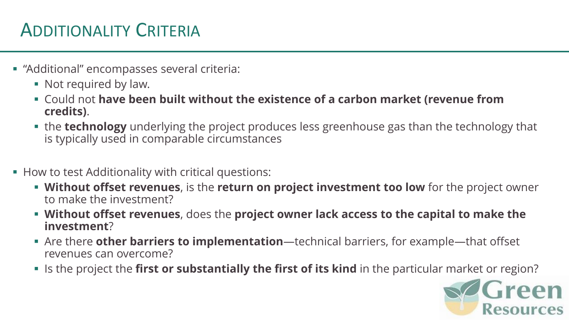### ADDITIONALITY CRITERIA

- "Additional" encompasses several criteria:
	- Not required by law.
	- **EX Could not have been built without the existence of a carbon market (revenue from credits)**.
	- **.** the technology underlying the project produces less greenhouse gas than the technology that is typically used in comparable circumstances
- How to test Additionality with critical questions:
	- **EXT Without offset revenues**, is the **return on project investment too low** for the project owner to make the investment?
	- **Without offset revenues**, does the **project owner lack access to the capital to make the investment**?
	- Are there **other barriers to implementation**—technical barriers, for example—that offset revenues can overcome?
	- **Example 1** Is the project the **first or substantially the first of its kind** in the particular market or region?

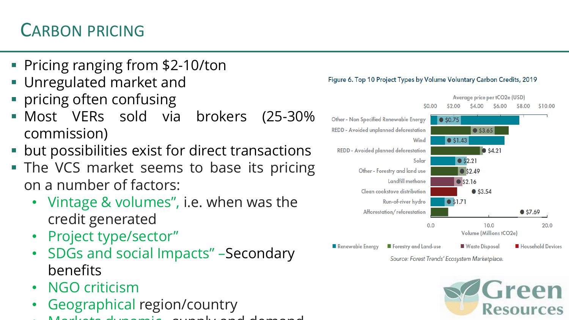### CARBON PRICING

- Pricing ranging from \$2-10/ton
- **Unregulated market and**
- pricing often confusing
- Most VERs sold via brokers (25-30% commission)
- but possibilities exist for direct transactions
- **The VCS market seems to base its pricing** on a number of factors:
	- Vintage & volumes", i.e. when was the credit generated
	- Project type/sector"
	- SDGs and social Impacts" –Secondary benefits
	- NGO criticism
	- Geographical region/country
	- Markets dynamic –supply and demand



Source: Forest Trends' Ecosystem Marketplace.



#### Figure 6. Top 10 Project Types by Volume Voluntary Carbon Credits, 2019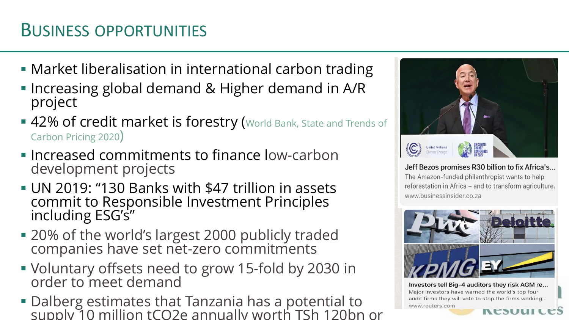#### BUSINESS OPPORTUNITIES

- Market liberalisation in international carbon trading
- **.** Increasing global demand & Higher demand in A/R project
- 42% of credit market is forestry (World Bank, State and Trends of Carbon Pricing 2020)
- **Example 2 r** Increased commitments to finance low-carbon development projects
- **UN 2019: "130 Banks with \$47 trillion in assets** commit to Responsible Investment Principles including ESG's"
- 20% of the world's largest 2000 publicly traded companies have set net-zero commitments
- Voluntary offsets need to grow 15-fold by 2030 in order to meet demand
- **Dalberg estimates that Tanzania has a potential to** supply 10 million tCO2e annually worth TSh 120bn or



Jeff Bezos promises R30 billion to fix Africa's... The Amazon-funded philanthropist wants to help reforestation in Africa - and to transform agriculture. www.businessinsider.co.za



Investors tell Big-4 auditors they risk AGM re... Major investors have warned the world's top four audit firms they will vote to stop the firms working... www.reuters.com **RESULICES**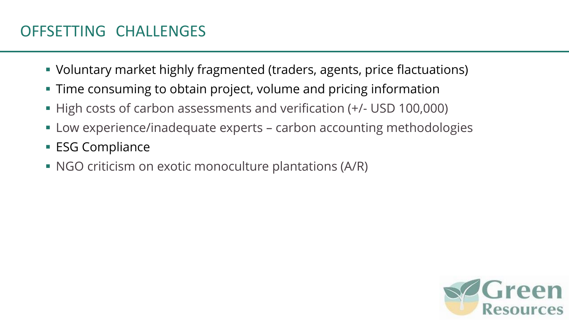- Voluntary market highly fragmented (traders, agents, price flactuations)
- **Time consuming to obtain project, volume and pricing information**
- High costs of carbon assessments and verification (+/- USD 100,000)
- Low experience/inadequate experts carbon accounting methodologies
- **ESG Compliance**
- NGO criticism on exotic monoculture plantations (A/R)

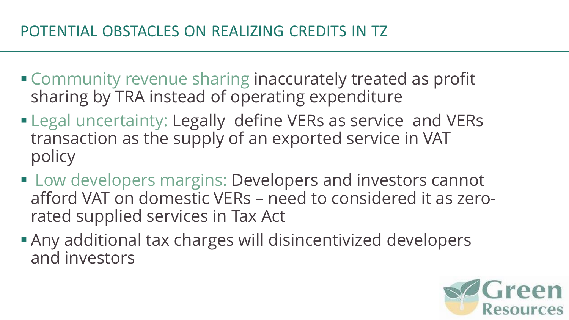- **Community revenue sharing inaccurately treated as profit** sharing by TRA instead of operating expenditure
- **ELegal uncertainty: Legally define VERs as service and VERs** transaction as the supply of an exported service in VAT policy
- **E.** Low developers margins: Developers and investors cannot afford VAT on domestic VERs – need to considered it as zerorated supplied services in Tax Act
- **Any additional tax charges will disincentivized developers** and investors